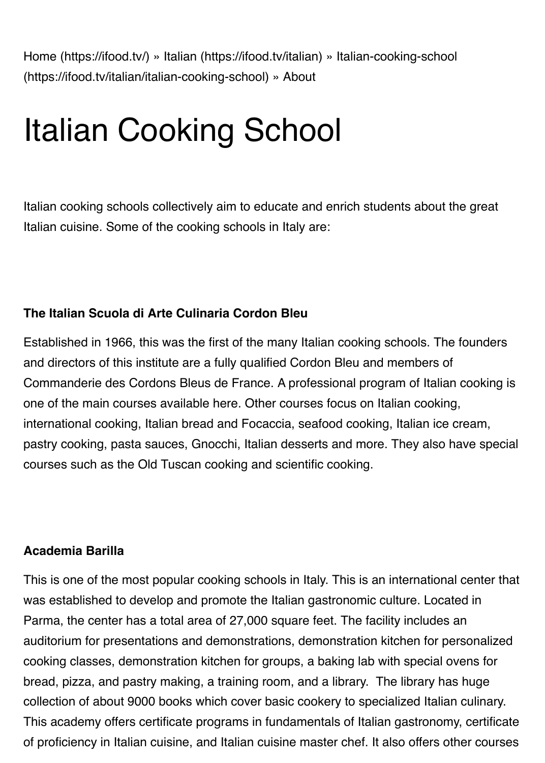[Home \(https://ifood.tv/\)](https://ifood.tv/) » [Italian \(https://ifood.tv/italian\)](https://ifood.tv/italian) » Italian-cooking-school [\(https://ifood.tv/italian/italian-cooking-school\)](https://ifood.tv/italian/italian-cooking-school) » About

# Italian Cooking School

Italian cooking schools collectively aim to educate and enrich students about the great Italian cuisine. Some of the cooking schools in Italy are:

# **The Italian Scuola di Arte Culinaria Cordon Bleu**

Established in 1966, this was the first of the many Italian cooking schools. The founders and directors of this institute are a fully qualified Cordon Bleu and members of Commanderie des Cordons Bleus de France. A professional program of Italian cooking is one of the main courses available here. Other courses focus on Italian cooking, international cooking, Italian bread and Focaccia, seafood cooking, Italian ice cream, pastry cooking, pasta sauces, Gnocchi, Italian desserts and more. They also have special courses such as the Old Tuscan cooking and scientific cooking.

#### **Academia Barilla**

This is one of the most popular cooking schools in Italy. This is an international center that was established to develop and promote the Italian gastronomic culture. Located in Parma, the center has a total area of 27,000 square feet. The facility includes an auditorium for presentations and demonstrations, demonstration kitchen for personalized cooking classes, demonstration kitchen for groups, a baking lab with special ovens for bread, pizza, and pastry making, a training room, and a library. The library has huge collection of about 9000 books which cover basic cookery to specialized Italian culinary. This academy offers certificate programs in fundamentals of Italian gastronomy, certificate of proficiency in Italian cuisine, and Italian cuisine master chef. It also offers other courses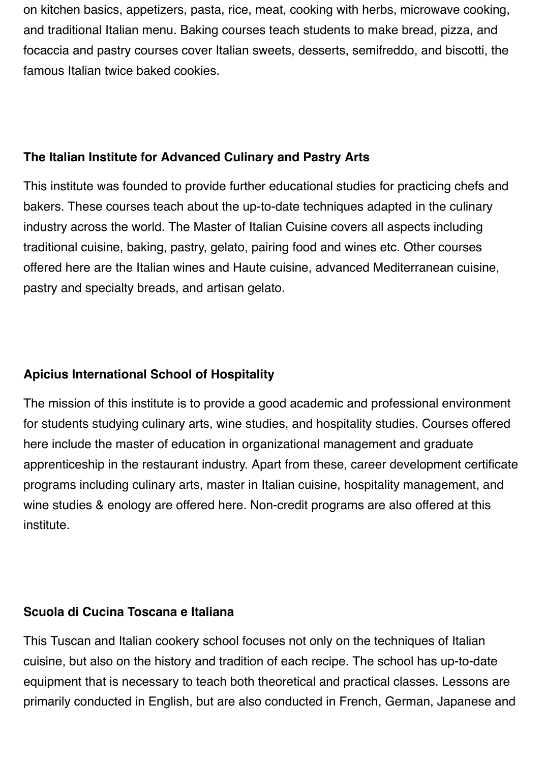on kitchen basics, appetizers, pasta, rice, meat, cooking with herbs, microwave cooking, and traditional Italian menu. Baking courses teach students to make bread, pizza, and focaccia and pastry courses cover Italian sweets, desserts, semifreddo, and biscotti, the famous Italian twice baked cookies.

## **The Italian Institute for Advanced Culinary and Pastry Arts**

This institute was founded to provide further educational studies for practicing chefs and bakers. These courses teach about the up-to-date techniques adapted in the culinary industry across the world. The Master of Italian Cuisine covers all aspects including traditional cuisine, baking, pastry, gelato, pairing food and wines etc. Other courses offered here are the Italian wines and Haute cuisine, advanced Mediterranean cuisine, pastry and specialty breads, and artisan gelato.

## **Apicius International School of Hospitality**

The mission of this institute is to provide a good academic and professional environment for students studying culinary arts, wine studies, and hospitality studies. Courses offered here include the master of education in organizational management and graduate apprenticeship in the restaurant industry. Apart from these, career development certificate programs including culinary arts, master in Italian cuisine, hospitality management, and wine studies & enology are offered here. Non-credit programs are also offered at this institute.

#### **Scuola di Cucina Toscana e Italiana**

This Tuscan and Italian cookery school focuses not only on the techniques of Italian cuisine, but also on the history and tradition of each recipe. The school has up-to-date equipment that is necessary to teach both theoretical and practical classes. Lessons are primarily conducted in English, but are also conducted in French, German, Japanese and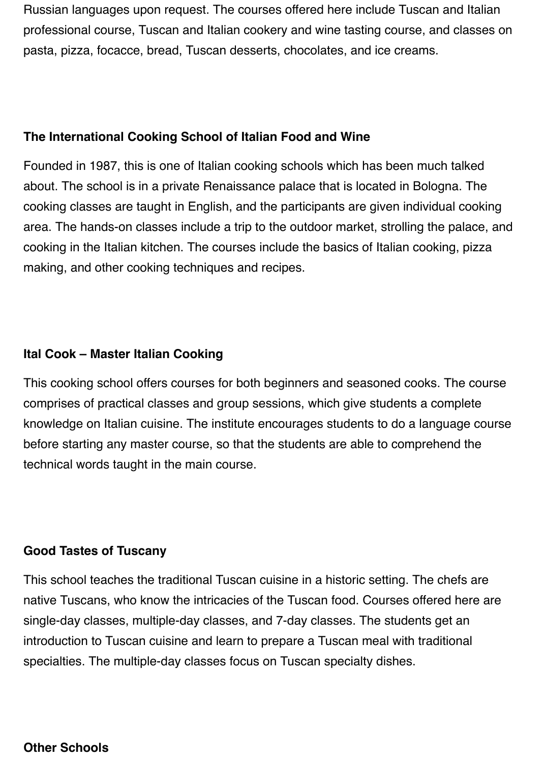Russian languages upon request. The courses offered here include Tuscan and Italian professional course, Tuscan and Italian cookery and wine tasting course, and classes on pasta, pizza, focacce, bread, Tuscan desserts, chocolates, and ice creams.

#### **The International Cooking School of Italian Food and Wine**

Founded in 1987, this is one of Italian cooking schools which has been much talked about. The school is in a private Renaissance palace that is located in Bologna. The cooking classes are taught in English, and the participants are given individual cooking area. The hands-on classes include a trip to the outdoor market, strolling the palace, and cooking in the Italian kitchen. The courses include the basics of Italian cooking, pizza making, and other cooking techniques and recipes.

# **Ital Cook – Master Italian Cooking**

This cooking school offers courses for both beginners and seasoned cooks. The course comprises of practical classes and group sessions, which give students a complete knowledge on Italian cuisine. The institute encourages students to do a language course before starting any master course, so that the students are able to comprehend the technical words taught in the main course.

# **Good Tastes of Tuscany**

This school teaches the traditional Tuscan cuisine in a historic setting. The chefs are native Tuscans, who know the intricacies of the Tuscan food. Courses offered here are single-day classes, multiple-day classes, and 7-day classes. The students get an introduction to Tuscan cuisine and learn to prepare a Tuscan meal with traditional specialties. The multiple-day classes focus on Tuscan specialty dishes.

#### **Other Schools**